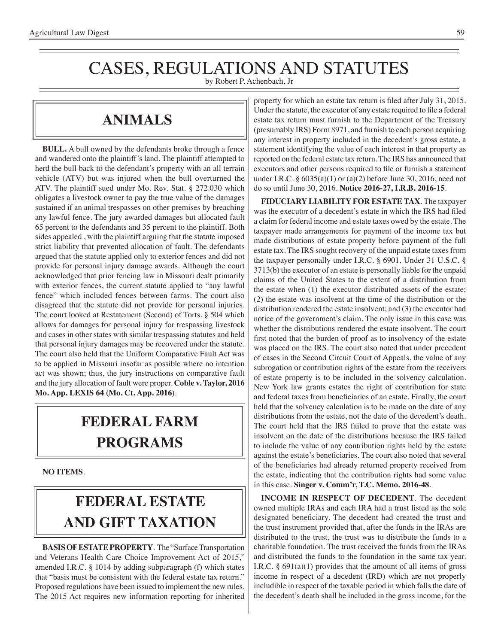## CASES, REGULATIONS AND STATUTES

by Robert P. Achenbach, Jr

### **Animals**

**BULL.** A bull owned by the defendants broke through a fence and wandered onto the plaintiff's land. The plaintiff attempted to herd the bull back to the defendant's property with an all terrain vehicle (ATV) but was injured when the bull overturned the ATV. The plaintiff sued under Mo. Rev. Stat. § 272.030 which obligates a livestock owner to pay the true value of the damages sustained if an animal trespasses on other premises by breaching any lawful fence. The jury awarded damages but allocated fault 65 percent to the defendants and 35 percent to the plaintiff. Both sides appealed , with the plaintiff arguing that the statute imposed strict liability that prevented allocation of fault. The defendants argued that the statute applied only to exterior fences and did not provide for personal injury damage awards. Although the court acknowledged that prior fencing law in Missouri dealt primarily with exterior fences, the current statute applied to "any lawful fence" which included fences between farms. The court also disagreed that the statute did not provide for personal injuries. The court looked at Restatement (Second) of Torts, § 504 which allows for damages for personal injury for trespassing livestock and cases in other states with similar trespassing statutes and held that personal injury damages may be recovered under the statute. The court also held that the Uniform Comparative Fault Act was to be applied in Missouri insofar as possible where no intention act was shown; thus, the jury instructions on comparative fault and the jury allocation of fault were proper. **Coble v. Taylor, 2016 Mo. App. LEXIS 64 (Mo. Ct. App. 2016)**.

### **federal FARM PROGRAMS**

**NO ITEMS**.

## **FEDERAL ESTATE AND GIFT taxation**

**BASIS OF ESTATE PROPERTY**. The "Surface Transportation and Veterans Health Care Choice Improvement Act of 2015," amended I.R.C. § 1014 by adding subparagraph (f) which states that "basis must be consistent with the federal estate tax return." Proposed regulations have been issued to implement the new rules. The 2015 Act requires new information reporting for inherited

property for which an estate tax return is filed after July 31, 2015. Under the statute, the executor of any estate required to file a federal estate tax return must furnish to the Department of the Treasury (presumably IRS) Form 8971, and furnish to each person acquiring any interest in property included in the decedent's gross estate, a statement identifying the value of each interest in that property as reported on the federal estate tax return. The IRS has announced that executors and other persons required to file or furnish a statement under I.R.C. § 6035(a)(1) or (a)(2) before June 30, 2016, need not do so until June 30, 2016. **Notice 2016-27, I.R.B. 2016-15**.

**FIDUCIARY LIABILITY FOR ESTATE TAX**. The taxpayer was the executor of a decedent's estate in which the IRS had filed a claim for federal income and estate taxes owed by the estate. The taxpayer made arrangements for payment of the income tax but made distributions of estate property before payment of the full estate tax. The IRS sought recovery of the unpaid estate taxes from the taxpayer personally under I.R.C. § 6901. Under 31 U.S.C. § 3713(b) the executor of an estate is personally liable for the unpaid claims of the United States to the extent of a distribution from the estate when (1) the executor distributed assets of the estate; (2) the estate was insolvent at the time of the distribution or the distribution rendered the estate insolvent; and (3) the executor had notice of the government's claim. The only issue in this case was whether the distributions rendered the estate insolvent. The court first noted that the burden of proof as to insolvency of the estate was placed on the IRS. The court also noted that under precedent of cases in the Second Circuit Court of Appeals, the value of any subrogation or contribution rights of the estate from the receivers of estate property is to be included in the solvency calculation. New York law grants estates the right of contribution for state and federal taxes from beneficiaries of an estate. Finally, the court held that the solvency calculation is to be made on the date of any distributions from the estate, not the date of the decedent's death. The court held that the IRS failed to prove that the estate was insolvent on the date of the distributions because the IRS failed to include the value of any contribution rights held by the estate against the estate's beneficiaries. The court also noted that several of the beneficiaries had already returned property received from the estate, indicating that the contribution rights had some value in this case. **Singer v. Comm'r, T.C. Memo. 2016-48**.

**INCOME IN RESPECT OF DECEDENT**. The decedent owned multiple IRAs and each IRA had a trust listed as the sole designated beneficiary. The decedent had created the trust and the trust instrument provided that, after the funds in the IRAs are distributed to the trust, the trust was to distribute the funds to a charitable foundation. The trust received the funds from the IRAs and distributed the funds to the foundation in the same tax year. I.R.C.  $\S$  691(a)(1) provides that the amount of all items of gross income in respect of a decedent (IRD) which are not properly includible in respect of the taxable period in which falls the date of the decedent's death shall be included in the gross income, for the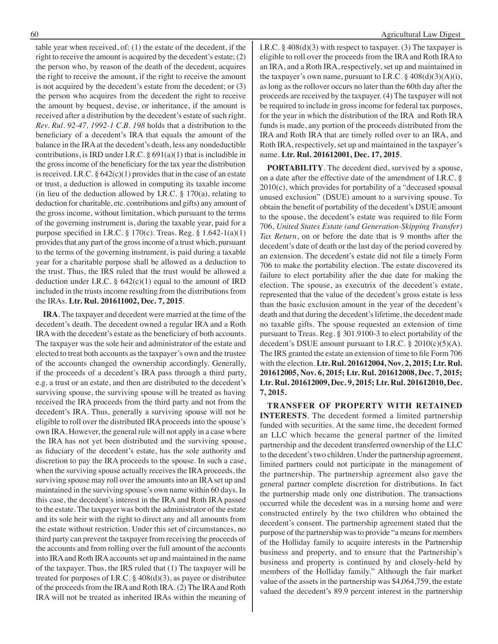table year when received, of: (1) the estate of the decedent, if the right to receive the amount is acquired by the decedent's estate; (2) the person who, by reason of the death of the decedent, acquires the right to receive the amount, if the right to receive the amount is not acquired by the decedent's estate from the decedent; or (3) the person who acquires from the decedent the right to receive the amount by bequest, devise, or inheritance, if the amount is received after a distribution by the decedent's estate of such right. *Rev. Rul. 92-47, 1992-1 C.B. 198* holds that a distribution to the beneficiary of a decedent's IRA that equals the amount of the balance in the IRA at the decedent's death, less any nondeductible contributions, is IRD under I.R.C.  $\S 691(a)(1)$  that is includible in the gross income of the beneficiary for the tax year the distribution is received. I.R.C.  $\S 642(c)(1)$  provides that in the case of an estate or trust, a deduction is allowed in computing its taxable income (in lieu of the deduction allowed by I.R.C.  $\S$  170(a), relating to deduction for charitable, etc. contributions and gifts) any amount of the gross income, without limitation, which pursuant to the terms of the governing instrument is, during the taxable year, paid for a purpose specified in I.R.C.  $\S 170(c)$ . Treas. Reg.  $\S 1.642-1(a)(1)$ provides that any part of the gross income of a trust which, pursuant to the terms of the governing instrument, is paid during a taxable year for a charitable purpose shall be allowed as a deduction to the trust. Thus, the IRS ruled that the trust would be allowed a deduction under I.R.C. § 642(c)(1) equal to the amount of IRD included in the trusts income resulting from the distributions from the IRAs. **Ltr. Rul. 201611002, Dec. 7, 2015**.

**IRA**. The taxpayer and decedent were married at the time of the decedent's death. The decedent owned a regular IRA and a Roth IRA with the decedent's estate as the beneficiary of both accounts. The taxpayer was the sole heir and administrator of the estate and elected to treat both accounts as the taxpayer's own and the trustee of the accounts changed the ownership accordingly. Generally, if the proceeds of a decedent's IRA pass through a third party, e.g. a trust or an estate, and then are distributed to the decedent's surviving spouse, the surviving spouse will be treated as having received the IRA proceeds from the third party and not from the decedent's IRA. Thus, generally a surviving spouse will not be eligible to roll over the distributed IRA proceeds into the spouse's own IRA. However, the general rule will not apply in a case where the IRA has not yet been distributed and the surviving spouse, as fiduciary of the decedent's estate, has the sole authority and discretion to pay the IRA proceeds to the spouse. In such a case, when the surviving spouse actually receives the IRA proceeds, the surviving spouse may roll over the amounts into an IRA set up and maintained in the surviving spouse's own name within 60 days. In this case, the decedent's interest in the IRA and Roth IRA passed to the estate. The taxpayer was both the administrator of the estate and its sole heir with the right to direct any and all amounts from the estate without restriction. Under this set of circumstances, no third party can prevent the taxpayer from receiving the proceeds of the accounts and from rolling over the full amount of the accounts into IRA and Roth IRA accounts set up and maintained in the name of the taxpayer. Thus, the IRS ruled that (1) The taxpayer will be treated for purposes of I.R.C.  $\S$  408(d)(3), as payee or distributee of the proceeds from the IRA and Roth IRA. (2) The IRA and Roth IRA will not be treated as inherited IRAs within the meaning of I.R.C. § 408(d)(3) with respect to taxpayer. (3) The taxpayer is eligible to roll over the proceeds from the IRA and Roth IRA to an IRA, and a Roth IRA, respectively, set up and maintained in the taxpayer's own name, pursuant to I.R.C.  $\S$  408(d)(3)(A)(i), as long as the rollover occurs no later than the 60th day after the proceeds are received by the taxpayer. (4) The taxpayer will not be required to include in gross income for federal tax purposes, for the year in which the distribution of the IRA and Roth IRA funds is made, any portion of the proceeds distributed from the IRA and Roth IRA that are timely rolled over to an IRA, and Roth IRA, respectively, set up and maintained in the taxpayer's name. **Ltr. Rul. 201612001, Dec. 17, 2015**.

**PORTABILITY**. The decedent died, survived by a spouse, on a date after the effective date of the amendment of I.R.C. § 2010(c), which provides for portability of a "deceased spousal unused exclusion" (DSUE) amount to a surviving spouse. To obtain the benefit of portability of the decedent's DSUE amount to the spouse, the decedent's estate was required to file Form 706, *United States Estate (and Generation-Skipping Transfer) Tax Return*, on or before the date that is 9 months after the decedent's date of death or the last day of the period covered by an extension. The decedent's estate did not file a timely Form 706 to make the portability election. The estate discovered its failure to elect portability after the due date for making the election. The spouse, as executrix of the decedent's estate, represented that the value of the decedent's gross estate is less than the basic exclusion amount in the year of the decedent's death and that during the decedent's lifetime, the decedent made no taxable gifts. The spouse requested an extension of time pursuant to Treas. Reg. § 301.9100-3 to elect portability of the decedent's DSUE amount pursuant to I.R.C. § 2010(c)(5)(A). The IRS granted the estate an extension of time to file Form 706 with the election. **Ltr. Rul. 201612004, Nov. 2, 2015; Ltr. Rul. 201612005, Nov. 6, 2015; Ltr. Rul. 201612008, Dec. 7, 2015; Ltr. Rul. 201612009, Dec. 9, 2015; Ltr. Rul. 201612010, Dec. 7, 2015.**

**TRANSFER OF PROPERTY WITH RETAINED INTERESTS**. The decedent formed a limited partnership funded with securities. At the same time, the decedent formed an LLC which became the general partner of the limited partnership and the decedent transferred ownership of the LLC to the decedent's two children. Under the partnership agreement, limited partners could not participate in the management of the partnership. The partnership agreement also gave the general partner complete discretion for distributions. In fact the partnership made only one distribution. The transactions occurred while the decedent was in a nursing home and were constructed entirely by the two children who obtained the decedent's consent. The partnership agreement stated that the purpose of the partnership was to provide "a means for members of the Holliday family to acquire interests in the Partnership business and property, and to ensure that the Partnership's business and property is continued by and closely-held by members of the Holliday family." Although the fair market value of the assets in the partnership was \$4,064,759, the estate valued the decedent's 89.9 percent interest in the partnership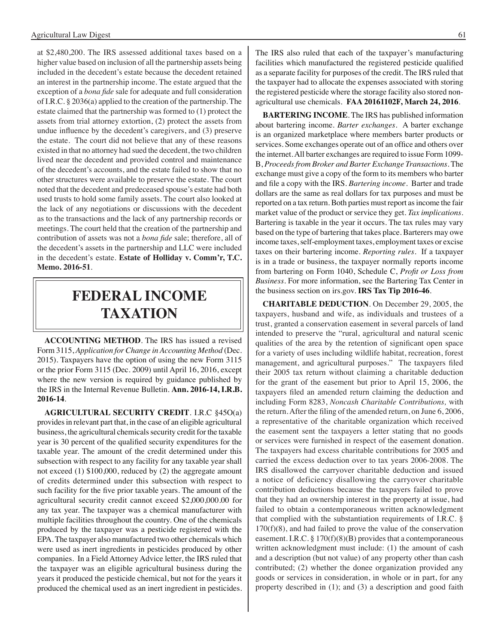at \$2,480,200. The IRS assessed additional taxes based on a higher value based on inclusion of all the partnership assets being included in the decedent's estate because the decedent retained an interest in the partnership income. The estate argued that the exception of a *bona fide* sale for adequate and full consideration of I.R.C. § 2036(a) applied to the creation of the partnership. The estate claimed that the partnership was formed to (1) protect the assets from trial attorney extortion, (2) protect the assets from undue influence by the decedent's caregivers, and (3) preserve the estate. The court did not believe that any of these reasons existed in that no attorney had sued the decedent, the two children lived near the decedent and provided control and maintenance of the decedent's accounts, and the estate failed to show that no other structures were available to preserve the estate. The court noted that the decedent and predeceased spouse's estate had both used trusts to hold some family assets. The court also looked at the lack of any negotiations or discussions with the decedent as to the transactions and the lack of any partnership records or meetings. The court held that the creation of the partnership and contribution of assets was not a *bona fide* sale; therefore, all of the decedent's assets in the partnership and LLC were included in the decedent's estate. **Estate of Holliday v. Comm'r, T.C. Memo. 2016-51**.

### **federal income taxation**

**ACCOUNTING METHOD**. The IRS has issued a revised Form 3115, *Application for Change in Accounting Method* (Dec. 2015). Taxpayers have the option of using the new Form 3115 or the prior Form 3115 (Dec. 2009) until April 16, 2016, except where the new version is required by guidance published by the IRS in the Internal Revenue Bulletin. **Ann. 2016-14, I.R.B. 2016-14**.

**AGRICULTURAL SECURITY CREDIT**. I.R.C §45O(a) provides in relevant part that, in the case of an eligible agricultural business, the agricultural chemicals security credit for the taxable year is 30 percent of the qualified security expenditures for the taxable year. The amount of the credit determined under this subsection with respect to any facility for any taxable year shall not exceed (1) \$100,000, reduced by (2) the aggregate amount of credits determined under this subsection with respect to such facility for the five prior taxable years. The amount of the agricultural security credit cannot exceed \$2,000,000.00 for any tax year. The taxpayer was a chemical manufacturer with multiple facilities throughout the country. One of the chemicals produced by the taxpayer was a pesticide registered with the EPA. The taxpayer also manufactured two other chemicals which were used as inert ingredients in pesticides produced by other companies. In a Field Attorney Advice letter, the IRS ruled that the taxpayer was an eligible agricultural business during the years it produced the pesticide chemical, but not for the years it produced the chemical used as an inert ingredient in pesticides.

The IRS also ruled that each of the taxpayer's manufacturing facilities which manufactured the registered pesticide qualified as a separate facility for purposes of the credit. The IRS ruled that the taxpayer had to allocate the expenses associated with storing the registered pesticide where the storage facility also stored nonagricultural use chemicals. **FAA 20161102F, March 24, 2016**.

**BARTERING INCOME**. The IRS has published information about bartering income. *Barter exchanges*. A barter exchange is an organized marketplace where members barter products or services. Some exchanges operate out of an office and others over the internet. All barter exchanges are required to issue Form 1099- B, *Proceeds from Broker and Barter Exchange Transactions*. The exchange must give a copy of the form to its members who barter and file a copy with the IRS. *Bartering income*. Barter and trade dollars are the same as real dollars for tax purposes and must be reported on a tax return. Both parties must report as income the fair market value of the product or service they get. *Tax implications*. Bartering is taxable in the year it occurs. The tax rules may vary based on the type of bartering that takes place. Barterers may owe income taxes, self-employment taxes, employment taxes or excise taxes on their bartering income. *Reporting rules*. If a taxpayer is in a trade or business, the taxpayer normally reports income from bartering on Form 1040, Schedule C, *Profit or Loss from Business*. For more information, see the Bartering Tax Center in the business section on irs.gov. **IRS Tax Tip 2016-46**.

**CHARITABLE DEDUCTION**. On December 29, 2005, the taxpayers, husband and wife, as individuals and trustees of a trust, granted a conservation easement in several parcels of land intended to preserve the "rural, agricultural and natural scenic qualities of the area by the retention of significant open space for a variety of uses including wildlife habitat, recreation, forest management, and agricultural purposes." The taxpayers filed their 2005 tax return without claiming a charitable deduction for the grant of the easement but prior to April 15, 2006, the taxpayers filed an amended return claiming the deduction and including Form 8283, *Noncash Charitable Contributions,* with the return. After the filing of the amended return, on June 6, 2006, a representative of the charitable organization which received the easement sent the taxpayers a letter stating that no goods or services were furnished in respect of the easement donation. The taxpayers had excess charitable contributions for 2005 and carried the excess deduction over to tax years 2006-2008. The IRS disallowed the carryover charitable deduction and issued a notice of deficiency disallowing the carryover charitable contribution deductions because the taxpayers failed to prove that they had an ownership interest in the property at issue, had failed to obtain a contemporaneous written acknowledgment that complied with the substantiation requirements of I.R.C. §  $170(f)(8)$ , and had failed to prove the value of the conservation easement. I.R.C. § 170(f)(8)(B) provides that a contemporaneous written acknowledgment must include: (1) the amount of cash and a description (but not value) of any property other than cash contributed; (2) whether the donee organization provided any goods or services in consideration, in whole or in part, for any property described in (1); and (3) a description and good faith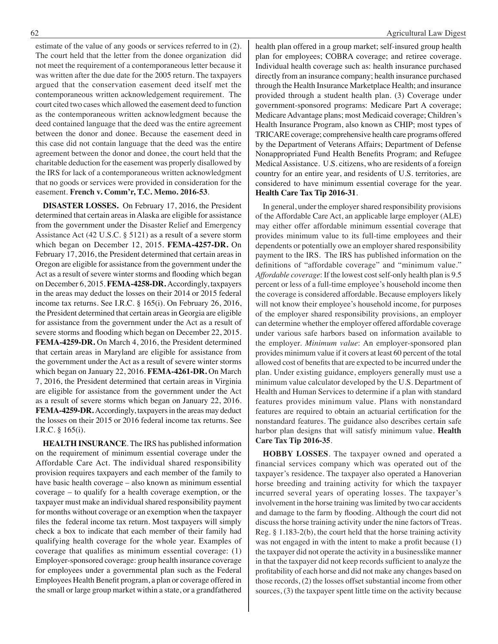estimate of the value of any goods or services referred to in (2). The court held that the letter from the donee organization did not meet the requirement of a contemporaneous letter because it was written after the due date for the 2005 return. The taxpayers argued that the conservation easement deed itself met the contemporaneous written acknowledgement requirement. The court cited two cases which allowed the easement deed to function as the contemporaneous written acknowledgment because the deed contained language that the deed was the entire agreement between the donor and donee. Because the easement deed in this case did not contain language that the deed was the entire agreement between the donor and donee, the court held that the charitable deduction for the easement was properly disallowed by the IRS for lack of a contemporaneous written acknowledgment that no goods or services were provided in consideration for the easement. **French v. Comm'r, T.C. Memo. 2016-53**.

**DISASTER LOSSES.** On February 17, 2016, the President determined that certain areas in Alaska are eligible for assistance from the government under the Disaster Relief and Emergency Assistance Act (42 U.S.C. § 5121) as a result of a severe storm which began on December 12, 2015. **FEMA-4257-DR.** On February 17, 2016, the President determined that certain areas in Oregon are eligible for assistance from the government under the Act as a result of severe winter storms and flooding which began on December 6, 2015. **FEMA-4258-DR.** Accordingly, taxpayers in the areas may deduct the losses on their 2014 or 2015 federal income tax returns. See I.R.C. § 165(i). On February 26, 2016, the President determined that certain areas in Georgia are eligible for assistance from the government under the Act as a result of severe storms and flooding which began on December 22, 2015. **FEMA-4259-DR.** On March 4, 2016, the President determined that certain areas in Maryland are eligible for assistance from the government under the Act as a result of severe winter storms which began on January 22, 2016. **FEMA-4261-DR.** On March 7, 2016, the President determined that certain areas in Virginia are eligible for assistance from the government under the Act as a result of severe storms which began on January 22, 2016. **FEMA-4259-DR.** Accordingly, taxpayers in the areas may deduct the losses on their 2015 or 2016 federal income tax returns. See I.R.C. § 165(i).

**HEALTH INSURANCE**. The IRS has published information on the requirement of minimum essential coverage under the Affordable Care Act. The individual shared responsibility provision requires taxpayers and each member of the family to have basic health coverage – also known as minimum essential coverage – to qualify for a health coverage exemption, or the taxpayer must make an individual shared responsibility payment for months without coverage or an exemption when the taxpayer files the federal income tax return. Most taxpayers will simply check a box to indicate that each member of their family had qualifying health coverage for the whole year. Examples of coverage that qualifies as minimum essential coverage: (1) Employer-sponsored coverage: group health insurance coverage for employees under a governmental plan such as the Federal Employees Health Benefit program, a plan or coverage offered in the small or large group market within a state, or a grandfathered health plan offered in a group market; self-insured group health plan for employees; COBRA coverage; and retiree coverage. Individual health coverage such as: health insurance purchased directly from an insurance company; health insurance purchased through the Health Insurance Marketplace Health; and insurance provided through a student health plan. (3) Coverage under government-sponsored programs: Medicare Part A coverage; Medicare Advantage plans; most Medicaid coverage; Children's Health Insurance Program, also known as CHIP; most types of TRICARE coverage; comprehensive health care programs offered by the Department of Veterans Affairs; Department of Defense Nonappropriated Fund Health Benefits Program; and Refugee Medical Assistance. U.S. citizens, who are residents of a foreign country for an entire year, and residents of U.S. territories, are considered to have minimum essential coverage for the year. **Health Care Tax Tip 2016-31**.

In general, under the employer shared responsibility provisions of the Affordable Care Act, an applicable large employer (ALE) may either offer affordable minimum essential coverage that provides minimum value to its full-time employees and their dependents or potentially owe an employer shared responsibility payment to the IRS. The IRS has published information on the definitions of "affordable coverage" and "minimum value." *Affordable coverage*: If the lowest cost self-only health plan is 9.5 percent or less of a full-time employee's household income then the coverage is considered affordable. Because employers likely will not know their employee's household income, for purposes of the employer shared responsibility provisions, an employer can determine whether the employer offered affordable coverage under various safe harbors based on information available to the employer. *Minimum value*: An employer-sponsored plan provides minimum value if it covers at least 60 percent of the total allowed cost of benefits that are expected to be incurred under the plan. Under existing guidance, employers generally must use a minimum value calculator developed by the U.S. Department of Health and Human Services to determine if a plan with standard features provides minimum value. Plans with nonstandard features are required to obtain an actuarial certification for the nonstandard features. The guidance also describes certain safe harbor plan designs that will satisfy minimum value. **Health Care Tax Tip 2016-35**.

**HOBBY LOSSES**. The taxpayer owned and operated a financial services company which was operated out of the taxpayer's residence. The taxpayer also operated a Hanoverian horse breeding and training activity for which the taxpayer incurred several years of operating losses. The taxpayer's involvement in the horse training was limited by two car accidents and damage to the farm by flooding. Although the court did not discuss the horse training activity under the nine factors of Treas. Reg. § 1.183-2(b), the court held that the horse training activity was not engaged in with the intent to make a profit because (1) the taxpayer did not operate the activity in a businesslike manner in that the taxpayer did not keep records sufficient to analyze the profitability of each horse and did not make any changes based on those records, (2) the losses offset substantial income from other sources, (3) the taxpayer spent little time on the activity because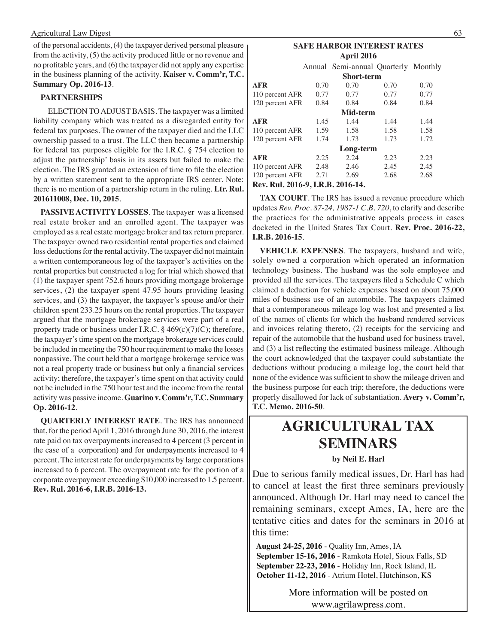#### Agricultural Law Digest 63

of the personal accidents, (4) the taxpayer derived personal pleasure from the activity, (5) the activity produced little or no revenue and no profitable years, and (6) the taxpayer did not apply any expertise in the business planning of the activity. **Kaiser v. Comm'r, T.C. Summary Op. 2016-13**.

#### **PARTNERSHIPS**

 ELECTION TO ADJUST BASIS. The taxpayer was a limited liability company which was treated as a disregarded entity for federal tax purposes. The owner of the taxpayer died and the LLC ownership passed to a trust. The LLC then became a partnership for federal tax purposes eligible for the I.R.C. § 754 election to adjust the partnership' basis in its assets but failed to make the election. The IRS granted an extension of time to file the election by a written statement sent to the appropriate IRS center. Note: there is no mention of a partnership return in the ruling. **Ltr. Rul. 201611008, Dec. 10, 2015**.

**PASSIVE ACTIVITY LOSSES**. The taxpayer was a licensed real estate broker and an enrolled agent. The taxpayer was employed as a real estate mortgage broker and tax return preparer. The taxpayer owned two residential rental properties and claimed loss deductions for the rental activity. The taxpayer did not maintain a written contemporaneous log of the taxpayer's activities on the rental properties but constructed a log for trial which showed that (1) the taxpayer spent 752.6 hours providing mortgage brokerage services, (2) the taxpayer spent 47.95 hours providing leasing services, and (3) the taxpayer, the taxpayer's spouse and/or their children spent 233.25 hours on the rental properties. The taxpayer argued that the mortgage brokerage services were part of a real property trade or business under I.R.C.  $\S$  469(c)(7)(C); therefore, the taxpayer's time spent on the mortgage brokerage services could be included in meeting the 750 hour requirement to make the losses nonpassive. The court held that a mortgage brokerage service was not a real property trade or business but only a financial services activity; therefore, the taxpayer's time spent on that activity could not be included in the 750 hour test and the income from the rental activity was passive income. **Guarino v. Comm'r, T.C. Summary Op. 2016-12**.

**QUARTERLY INTEREST RATE**. The IRS has announced that, for the period April 1, 2016 through June 30, 2016, the interest rate paid on tax overpayments increased to 4 percent (3 percent in the case of a corporation) and for underpayments increased to 4 percent. The interest rate for underpayments by large corporations increased to 6 percent. The overpayment rate for the portion of a corporate overpayment exceeding \$10,000 increased to 1.5 percent. **Rev. Rul. 2016-6, I.R.B. 2016-13.**

#### **Safe Harbor interest rates April 2016**

|                                  |      | Annual Semi-annual Quarterly Monthly |      |      |  |  |  |  |  |
|----------------------------------|------|--------------------------------------|------|------|--|--|--|--|--|
| <b>Short-term</b>                |      |                                      |      |      |  |  |  |  |  |
| AFR                              | 0.70 | 0.70                                 | 0.70 | 0.70 |  |  |  |  |  |
| 110 percent AFR                  | 0.77 | 0.77                                 | 0.77 | 0.77 |  |  |  |  |  |
| 120 percent AFR                  | 0.84 | 0.84                                 | 0.84 | 0.84 |  |  |  |  |  |
|                                  |      | Mid-term                             |      |      |  |  |  |  |  |
| AFR                              | 1.45 | 1.44                                 | 1.44 | 1.44 |  |  |  |  |  |
| 110 percent AFR                  | 1.59 | 1.58                                 | 1.58 | 1.58 |  |  |  |  |  |
| 120 percent AFR                  | 1.74 | 1.73                                 | 1.73 | 1.72 |  |  |  |  |  |
|                                  |      | Long-term                            |      |      |  |  |  |  |  |
| AFR                              | 2.25 | 2.24                                 | 2.23 | 2.23 |  |  |  |  |  |
| 110 percent AFR                  | 2.48 | 2.46                                 | 2.45 | 2.45 |  |  |  |  |  |
| 120 percent AFR                  | 2.71 | 2.69                                 | 2.68 | 2.68 |  |  |  |  |  |
| Rev. Rul. 2016-9. LR.B. 2016-14. |      |                                      |      |      |  |  |  |  |  |

**TAX COURT**. The IRS has issued a revenue procedure which updates *Rev. Proc. 87-24, 1987-1 C.B. 720*, to clarify and describe the practices for the administrative appeals process in cases docketed in the United States Tax Court. **Rev. Proc. 2016-22, I.R.B. 2016-15**.

**VEHICLE EXPENSES**. The taxpayers, husband and wife, solely owned a corporation which operated an information technology business. The husband was the sole employee and provided all the services. The taxpayers filed a Schedule C which claimed a deduction for vehicle expenses based on about 75,000 miles of business use of an automobile. The taxpayers claimed that a contemporaneous mileage log was lost and presented a list of the names of clients for which the husband rendered services and invoices relating thereto, (2) receipts for the servicing and repair of the automobile that the husband used for business travel, and (3) a list reflecting the estimated business mileage. Although the court acknowledged that the taxpayer could substantiate the deductions without producing a mileage log, the court held that none of the evidence was sufficient to show the mileage driven and the business purpose for each trip; therefore, the deductions were properly disallowed for lack of substantiation. **Avery v. Comm'r, T.C. Memo. 2016-50**.

## **Agricultural tax seminars**

**by Neil E. Harl**

Due to serious family medical issues, Dr. Harl has had to cancel at least the first three seminars previously announced. Although Dr. Harl may need to cancel the remaining seminars, except Ames, IA, here are the tentative cities and dates for the seminars in 2016 at this time:

 **August 24-25, 2016** - Quality Inn, Ames, IA  **September 15-16, 2016** - Ramkota Hotel, Sioux Falls, SD  **September 22-23, 2016** - Holiday Inn, Rock Island, IL  **October 11-12, 2016** - Atrium Hotel, Hutchinson, KS

> More information will be posted on www.agrilawpress.com.